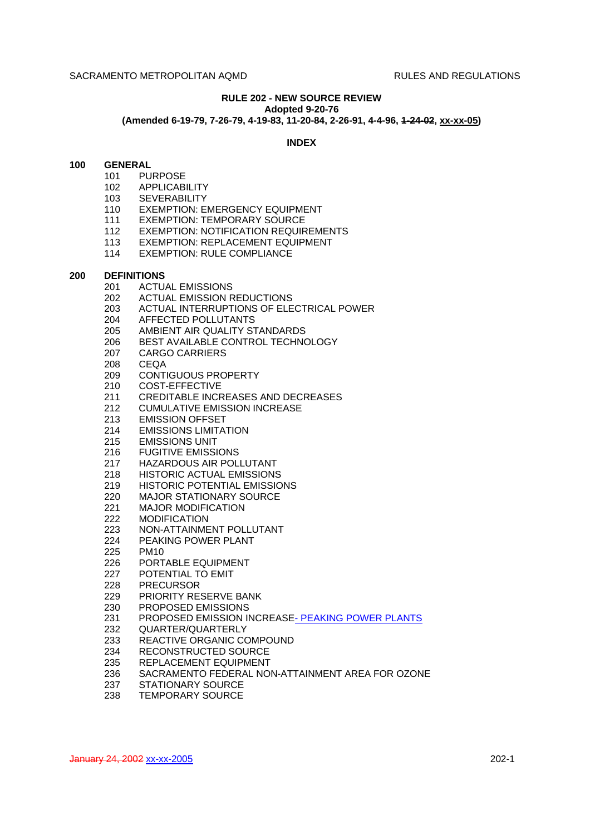#### **RULE 202 - NEW SOURCE REVIEW Adopted 9-20-76**

# **(Amended 6-19-79, 7-26-79, 4-19-83, 11-20-84, 2-26-91, 4-4-96, 1-24-02, xx-xx-05)**

### **INDEX**

### **100 GENERAL**

- 101 PURPOSE
	- 102 APPLICABILITY
	- 103 SEVERABILITY
	- 110 EXEMPTION: EMERGENCY EQUIPMENT
	- 111 EXEMPTION: TEMPORARY SOURCE
	- 112 EXEMPTION: NOTIFICATION REQUIREMENTS
	- 113 EXEMPTION: REPLACEMENT EQUIPMENT
	- 114 EXEMPTION: RULE COMPLIANCE

#### **200 DEFINITIONS**

- 201 ACTUAL EMISSIONS
- 202 ACTUAL EMISSION REDUCTIONS
- 203 ACTUAL INTERRUPTIONS OF ELECTRICAL POWER
- 204 AFFECTED POLLUTANTS
- 205 AMBIENT AIR QUALITY STANDARDS
- 206 BEST AVAILABLE CONTROL TECHNOLOGY
- 207 CARGO CARRIERS
- 208 CEQA
- 209 CONTIGUOUS PROPERTY
- 210 COST-EFFECTIVE
- 211 CREDITABLE INCREASES AND DECREASES
- 212 CUMULATIVE EMISSION INCREASE
- 213 EMISSION OFFSET
- 214 EMISSIONS LIMITATION
- 215 EMISSIONS UNIT
- 216 FUGITIVE EMISSIONS
- 217 HAZARDOUS AIR POLLUTANT
- 218 HISTORIC ACTUAL EMISSIONS
- 219 HISTORIC POTENTIAL EMISSIONS
- 220 MAJOR STATIONARY SOURCE
- 221 MAJOR MODIFICATION<br>222 MODIFICATION
- **MODIFICATION**
- 223 NON-ATTAINMENT POLLUTANT
- 224 PEAKING POWER PLANT
- 225 PM10
- 226 PORTABLE EQUIPMENT
- 227 POTENTIAL TO EMIT
- 228 PRECURSOR
- 229 PRIORITY RESERVE BANK
- 230 PROPOSED EMISSIONS
- 231 PROPOSED EMISSION INCREASE-PEAKING POWER PLANTS
- 232 QUARTER/QUARTERLY
- 233 REACTIVE ORGANIC COMPOUND
- 234 RECONSTRUCTED SOURCE
- 235 REPLACEMENT EQUIPMENT
- 236 SACRAMENTO FEDERAL NON-ATTAINMENT AREA FOR OZONE
- 237 STATIONARY SOURCE
- 238 TEMPORARY SOURCE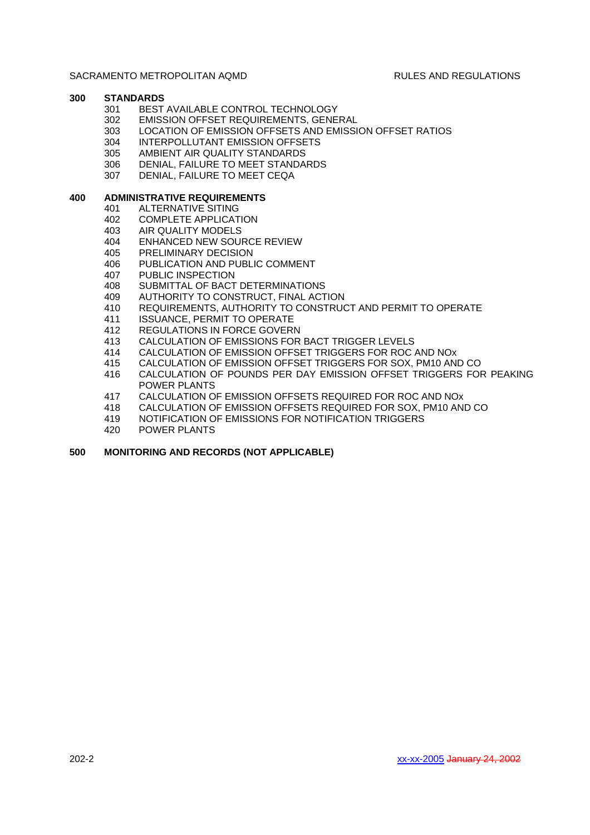# **300 STANDARDS**

- 301 BEST AVAILABLE CONTROL TECHNOLOGY
- 302 EMISSION OFFSET REQUIREMENTS, GENERAL
- 303 LOCATION OF EMISSION OFFSETS AND EMISSION OFFSET RATIOS
- 304 INTERPOLLUTANT EMISSION OFFSETS
- 305 AMBIENT AIR QUALITY STANDARDS
- 306 DENIAL, FAILURE TO MEET STANDARDS
- 307 DENIAL, FAILURE TO MEET CEQA

# **400 ADMINISTRATIVE REQUIREMENTS**

- 401 ALTERNATIVE SITING
	- 402 COMPLETE APPLICATION
	- 403 AIR QUALITY MODELS
	- 404 ENHANCED NEW SOURCE REVIEW
	- 405 PRELIMINARY DECISION
	- 406 PUBLICATION AND PUBLIC COMMENT
	- 407 PUBLIC INSPECTION
	- 408 SUBMITTAL OF BACT DETERMINATIONS
	- 409 AUTHORITY TO CONSTRUCT, FINAL ACTION
	- 410 REQUIREMENTS, AUTHORITY TO CONSTRUCT AND PERMIT TO OPERATE
	- 411 ISSUANCE, PERMIT TO OPERATE
	- 412 REGULATIONS IN FORCE GOVERN
	- 413 CALCULATION OF EMISSIONS FOR BACT TRIGGER LEVELS
	- 414 CALCULATION OF EMISSION OFFSET TRIGGERS FOR ROC AND NOx
	- 415 CALCULATION OF EMISSION OFFSET TRIGGERS FOR SOX, PM10 AND CO
	- 416 CALCULATION OF POUNDS PER DAY EMISSION OFFSET TRIGGERS FOR PEAKING POWER PLANTS
	- 417 CALCULATION OF EMISSION OFFSETS REQUIRED FOR ROC AND NOx
	- 418 CALCULATION OF EMISSION OFFSETS REQUIRED FOR SOX, PM10 AND CO
	- 419 NOTIFICATION OF EMISSIONS FOR NOTIFICATION TRIGGERS
	- 420 POWER PLANTS

# **500 MONITORING AND RECORDS (NOT APPLICABLE)**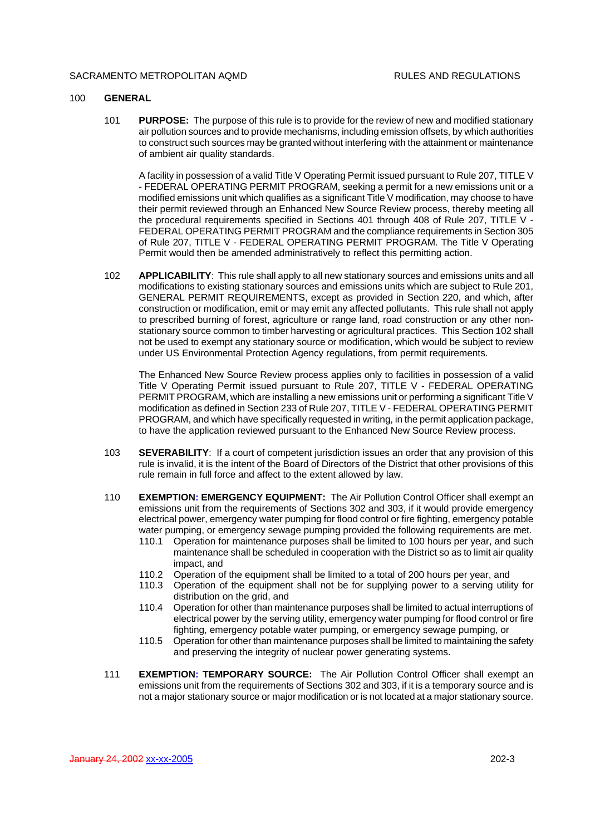#### 100 **GENERAL**

101 **PURPOSE:** The purpose of this rule is to provide for the review of new and modified stationary air pollution sources and to provide mechanisms, including emission offsets, by which authorities to construct such sources may be granted without interfering with the attainment or maintenance of ambient air quality standards.

A facility in possession of a valid Title V Operating Permit issued pursuant to Rule 207, TITLE V - FEDERAL OPERATING PERMIT PROGRAM, seeking a permit for a new emissions unit or a modified emissions unit which qualifies as a significant Title V modification, may choose to have their permit reviewed through an Enhanced New Source Review process, thereby meeting all the procedural requirements specified in Sections 401 through 408 of Rule 207, TITLE V - FEDERAL OPERATING PERMIT PROGRAM and the compliance requirements in Section 305 of Rule 207, TITLE V - FEDERAL OPERATING PERMIT PROGRAM. The Title V Operating Permit would then be amended administratively to reflect this permitting action.

102 **APPLICABILITY**: This rule shall apply to all new stationary sources and emissions units and all modifications to existing stationary sources and emissions units which are subject to Rule 201, GENERAL PERMIT REQUIREMENTS, except as provided in Section 220, and which, after construction or modification, emit or may emit any affected pollutants. This rule shall not apply to prescribed burning of forest, agriculture or range land, road construction or any other nonstationary source common to timber harvesting or agricultural practices. This Section 102 shall not be used to exempt any stationary source or modification, which would be subject to review under US Environmental Protection Agency regulations, from permit requirements.

The Enhanced New Source Review process applies only to facilities in possession of a valid Title V Operating Permit issued pursuant to Rule 207, TITLE V - FEDERAL OPERATING PERMIT PROGRAM, which are installing a new emissions unit or performing a significant Title V modification as defined in Section 233 of Rule 207, TITLE V - FEDERAL OPERATING PERMIT PROGRAM, and which have specifically requested in writing, in the permit application package, to have the application reviewed pursuant to the Enhanced New Source Review process.

- 103 **SEVERABILITY**: If a court of competent jurisdiction issues an order that any provision of this rule is invalid, it is the intent of the Board of Directors of the District that other provisions of this rule remain in full force and affect to the extent allowed by law.
- 110 **EXEMPTION: EMERGENCY EQUIPMENT:** The Air Pollution Control Officer shall exempt an emissions unit from the requirements of Sections 302 and 303, if it would provide emergency electrical power, emergency water pumping for flood control or fire fighting, emergency potable water pumping, or emergency sewage pumping provided the following requirements are met.<br>110.1 Operation for maintenance purposes shall be limited to 100 hours per vear, and such
	- Operation for maintenance purposes shall be limited to 100 hours per year, and such maintenance shall be scheduled in cooperation with the District so as to limit air quality impact, and
	- 110.2 Operation of the equipment shall be limited to a total of 200 hours per year, and
	- 110.3 Operation of the equipment shall not be for supplying power to a serving utility for distribution on the grid, and
	- 110.4 Operation for other than maintenance purposes shall be limited to actual interruptions of electrical power by the serving utility, emergency water pumping for flood control or fire fighting, emergency potable water pumping, or emergency sewage pumping, or
	- 110.5 Operation for other than maintenance purposes shall be limited to maintaining the safety and preserving the integrity of nuclear power generating systems.
- 111 **EXEMPTION: TEMPORARY SOURCE:** The Air Pollution Control Officer shall exempt an emissions unit from the requirements of Sections 302 and 303, if it is a temporary source and is not a major stationary source or major modification or is not located at a major stationary source.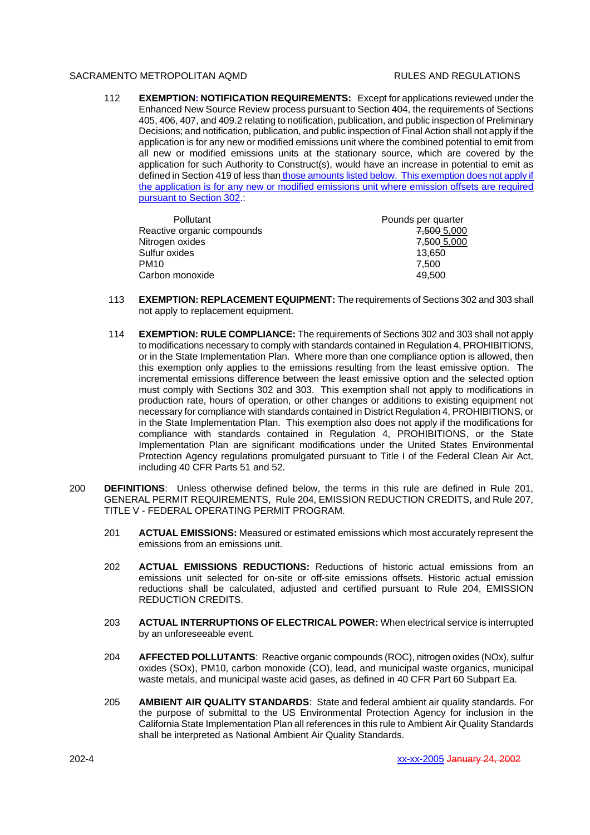112 **EXEMPTION: NOTIFICATION REQUIREMENTS:** Except for applications reviewed under the Enhanced New Source Review process pursuant to Section 404, the requirements of Sections 405, 406, 407, and 409.2 relating to notification, publication, and public inspection of Preliminary Decisions; and notification, publication, and public inspection of Final Action shall not apply if the application is for any new or modified emissions unit where the combined potential to emit from all new or modified emissions units at the stationary source, which are covered by the application for such Authority to Construct(s), would have an increase in potential to emit as defined in Section 419 of less than those amounts listed below. This exemption does not apply if the application is for any new or modified emissions unit where emission offsets are required pursuant to Section 302.

| <b>Pollutant</b>           | Pounds per quarter |
|----------------------------|--------------------|
| Reactive organic compounds | 7,500 5,000        |
| Nitrogen oxides            | 7,500 5,000        |
| Sulfur oxides              | 13,650             |
| <b>PM10</b>                | 7.500              |
| Carbon monoxide            | 49.500             |

- 113 **EXEMPTION: REPLACEMENT EQUIPMENT:** The requirements of Sections 302 and 303 shall not apply to replacement equipment.
- 114 **EXEMPTION: RULE COMPLIANCE:** The requirements of Sections 302 and 303 shall not apply to modifications necessary to comply with standards contained in Regulation 4, PROHIBITIONS, or in the State Implementation Plan. Where more than one compliance option is allowed, then this exemption only applies to the emissions resulting from the least emissive option. The incremental emissions difference between the least emissive option and the selected option must comply with Sections 302 and 303. This exemption shall not apply to modifications in production rate, hours of operation, or other changes or additions to existing equipment not necessary for compliance with standards contained in District Regulation 4, PROHIBITIONS, or in the State Implementation Plan. This exemption also does not apply if the modifications for compliance with standards contained in Regulation 4, PROHIBITIONS, or the State Implementation Plan are significant modifications under the United States Environmental Protection Agency regulations promulgated pursuant to Title I of the Federal Clean Air Act, including 40 CFR Parts 51 and 52.
- 200 **DEFINITIONS**: Unless otherwise defined below, the terms in this rule are defined in Rule 201, GENERAL PERMIT REQUIREMENTS, Rule 204, EMISSION REDUCTION CREDITS, and Rule 207, TITLE V - FEDERAL OPERATING PERMIT PROGRAM.
	- 201 **ACTUAL EMISSIONS:** Measured or estimated emissions which most accurately represent the emissions from an emissions unit.
	- 202 **ACTUAL EMISSIONS REDUCTIONS:** Reductions of historic actual emissions from an emissions unit selected for on-site or off-site emissions offsets. Historic actual emission reductions shall be calculated, adjusted and certified pursuant to Rule 204, EMISSION REDUCTION CREDITS.
	- 203 **ACTUAL INTERRUPTIONS OF ELECTRICAL POWER:** When electrical service is interrupted by an unforeseeable event.
	- 204 **AFFECTED POLLUTANTS**: Reactive organic compounds (ROC), nitrogen oxides (NOx), sulfur oxides (SOx), PM10, carbon monoxide (CO), lead, and municipal waste organics, municipal waste metals, and municipal waste acid gases, as defined in 40 CFR Part 60 Subpart Ea.
	- 205 **AMBIENT AIR QUALITY STANDARDS**: State and federal ambient air quality standards. For the purpose of submittal to the US Environmental Protection Agency for inclusion in the California State Implementation Plan all references in this rule to Ambient Air Quality Standards shall be interpreted as National Ambient Air Quality Standards.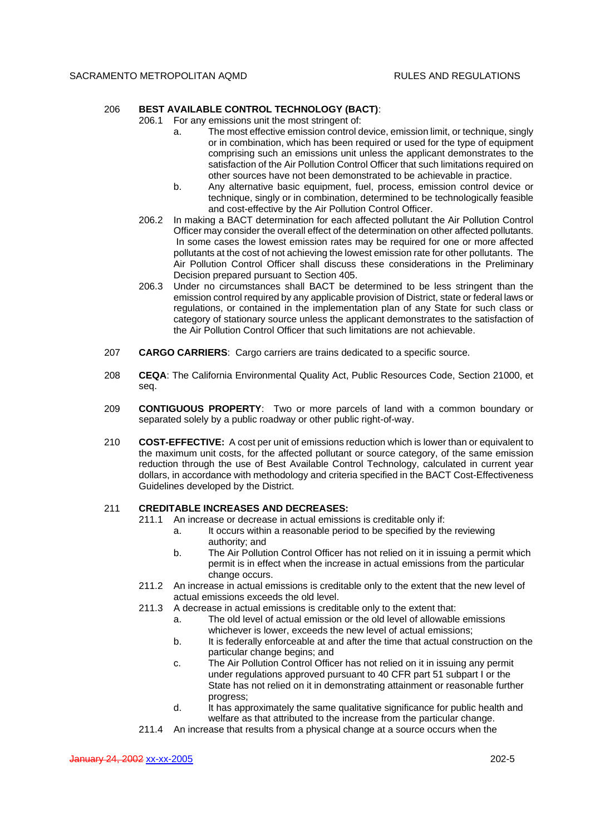# 206 **BEST AVAILABLE CONTROL TECHNOLOGY (BACT)**:

- 206.1 For any emissions unit the most stringent of:
	- a. The most effective emission control device, emission limit, or technique, singly or in combination, which has been required or used for the type of equipment comprising such an emissions unit unless the applicant demonstrates to the satisfaction of the Air Pollution Control Officer that such limitations required on other sources have not been demonstrated to be achievable in practice.
	- b. Any alternative basic equipment, fuel, process, emission control device or technique, singly or in combination, determined to be technologically feasible and cost-effective by the Air Pollution Control Officer.
- 206.2 In making a BACT determination for each affected pollutant the Air Pollution Control Officer may consider the overall effect of the determination on other affected pollutants. In some cases the lowest emission rates may be required for one or more affected pollutants at the cost of not achieving the lowest emission rate for other pollutants. The Air Pollution Control Officer shall discuss these considerations in the Preliminary Decision prepared pursuant to Section 405.
- 206.3 Under no circumstances shall BACT be determined to be less stringent than the emission control required by any applicable provision of District, state or federal laws or regulations, or contained in the implementation plan of any State for such class or category of stationary source unless the applicant demonstrates to the satisfaction of the Air Pollution Control Officer that such limitations are not achievable.
- 207 **CARGO CARRIERS**: Cargo carriers are trains dedicated to a specific source.
- 208 **CEQA**: The California Environmental Quality Act, Public Resources Code, Section 21000, et seq.
- 209 **CONTIGUOUS PROPERTY**: Two or more parcels of land with a common boundary or separated solely by a public roadway or other public right-of-way.
- 210 **COST-EFFECTIVE:** A cost per unit of emissions reduction which is lower than or equivalent to the maximum unit costs, for the affected pollutant or source category, of the same emission reduction through the use of Best Available Control Technology, calculated in current year dollars, in accordance with methodology and criteria specified in the BACT Cost-Effectiveness Guidelines developed by the District.

## 211 **CREDITABLE INCREASES AND DECREASES:**

- 211.1 An increase or decrease in actual emissions is creditable only if:
	- a. It occurs within a reasonable period to be specified by the reviewing authority; and
	- b. The Air Pollution Control Officer has not relied on it in issuing a permit which permit is in effect when the increase in actual emissions from the particular change occurs.
- 211.2 An increase in actual emissions is creditable only to the extent that the new level of actual emissions exceeds the old level.
- 211.3 A decrease in actual emissions is creditable only to the extent that:
	- a. The old level of actual emission or the old level of allowable emissions whichever is lower, exceeds the new level of actual emissions;
	- b. It is federally enforceable at and after the time that actual construction on the particular change begins; and
	- c. The Air Pollution Control Officer has not relied on it in issuing any permit under regulations approved pursuant to 40 CFR part 51 subpart I or the State has not relied on it in demonstrating attainment or reasonable further progress;
	- d. It has approximately the same qualitative significance for public health and welfare as that attributed to the increase from the particular change.
- 211.4 An increase that results from a physical change at a source occurs when the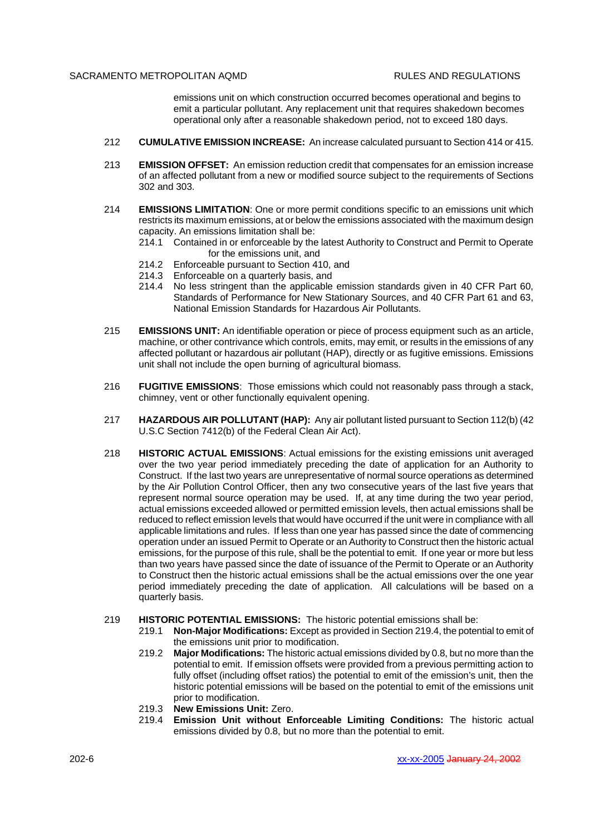emissions unit on which construction occurred becomes operational and begins to emit a particular pollutant. Any replacement unit that requires shakedown becomes operational only after a reasonable shakedown period, not to exceed 180 days.

- 212 **CUMULATIVE EMISSION INCREASE:** An increase calculated pursuant to Section 414 or 415.
- 213 **EMISSION OFFSET:** An emission reduction credit that compensates for an emission increase of an affected pollutant from a new or modified source subject to the requirements of Sections 302 and 303.
- 214 **EMISSIONS LIMITATION**: One or more permit conditions specific to an emissions unit which restricts its maximum emissions, at or below the emissions associated with the maximum design capacity. An emissions limitation shall be:
	- 214.1 Contained in or enforceable by the latest Authority to Construct and Permit to Operate for the emissions unit, and
	- 214.2 Enforceable pursuant to Section 410, and
	- 214.3 Enforceable on a quarterly basis, and
	- 214.4 No less stringent than the applicable emission standards given in 40 CFR Part 60, Standards of Performance for New Stationary Sources, and 40 CFR Part 61 and 63, National Emission Standards for Hazardous Air Pollutants.
- 215 **EMISSIONS UNIT:** An identifiable operation or piece of process equipment such as an article, machine, or other contrivance which controls, emits, may emit, or results in the emissions of any affected pollutant or hazardous air pollutant (HAP), directly or as fugitive emissions. Emissions unit shall not include the open burning of agricultural biomass.
- 216 **FUGITIVE EMISSIONS**: Those emissions which could not reasonably pass through a stack, chimney, vent or other functionally equivalent opening.
- 217 **HAZARDOUS AIR POLLUTANT (HAP):** Any air pollutant listed pursuant to Section 112(b) (42 U.S.C Section 7412(b) of the Federal Clean Air Act).
- 218 **HISTORIC ACTUAL EMISSIONS**: Actual emissions for the existing emissions unit averaged over the two year period immediately preceding the date of application for an Authority to Construct. If the last two years are unrepresentative of normal source operations as determined by the Air Pollution Control Officer, then any two consecutive years of the last five years that represent normal source operation may be used. If, at any time during the two year period, actual emissions exceeded allowed or permitted emission levels, then actual emissions shall be reduced to reflect emission levels that would have occurred if the unit were in compliance with all applicable limitations and rules. If less than one year has passed since the date of commencing operation under an issued Permit to Operate or an Authority to Construct then the historic actual emissions, for the purpose of this rule, shall be the potential to emit. If one year or more but less than two years have passed since the date of issuance of the Permit to Operate or an Authority to Construct then the historic actual emissions shall be the actual emissions over the one year period immediately preceding the date of application. All calculations will be based on a quarterly basis.
- 219 **HISTORIC POTENTIAL EMISSIONS:** The historic potential emissions shall be:
	- 219.1 **Non-Major Modifications:** Except as provided in Section 219.4, the potential to emit of the emissions unit prior to modification.
	- 219.2 **Major Modifications:** The historic actual emissions divided by 0.8, but no more than the potential to emit. If emission offsets were provided from a previous permitting action to fully offset (including offset ratios) the potential to emit of the emission's unit, then the historic potential emissions will be based on the potential to emit of the emissions unit prior to modification.
	- 219.3 **New Emissions Unit:** Zero.
	- 219.4 **Emission Unit without Enforceable Limiting Conditions:** The historic actual emissions divided by 0.8, but no more than the potential to emit.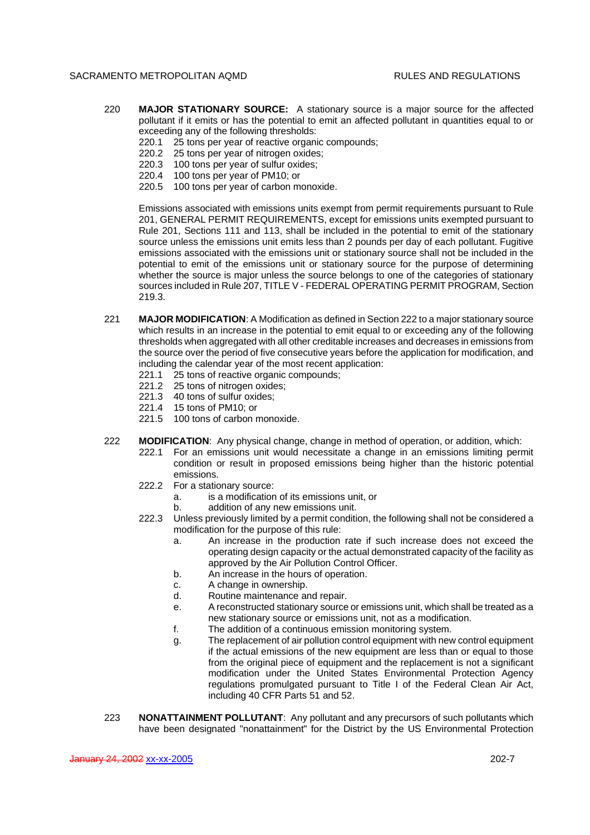- 220 **MAJOR STATIONARY SOURCE:** A stationary source is a major source for the affected pollutant if it emits or has the potential to emit an affected pollutant in quantities equal to or exceeding any of the following thresholds:
	- 220.1 25 tons per year of reactive organic compounds;
	- 220.2 25 tons per year of nitrogen oxides;
	- 220.3 100 tons per year of sulfur oxides;
	- 220.4 100 tons per year of PM10; or
	- 220.5 100 tons per year of carbon monoxide.

Emissions associated with emissions units exempt from permit requirements pursuant to Rule 201, GENERAL PERMIT REQUIREMENTS, except for emissions units exempted pursuant to Rule 201, Sections 111 and 113, shall be included in the potential to emit of the stationary source unless the emissions unit emits less than 2 pounds per day of each pollutant. Fugitive emissions associated with the emissions unit or stationary source shall not be included in the potential to emit of the emissions unit or stationary source for the purpose of determining whether the source is major unless the source belongs to one of the categories of stationary sources included in Rule 207, TITLE V - FEDERAL OPERATING PERMIT PROGRAM, Section 219.3.

- 221 **MAJOR MODIFICATION**: A Modification as defined in Section 222 to a major stationary source which results in an increase in the potential to emit equal to or exceeding any of the following thresholds when aggregated with all other creditable increases and decreases in emissions from the source over the period of five consecutive years before the application for modification, and including the calendar year of the most recent application:
	- 221.1 25 tons of reactive organic compounds;
	- 221.2 25 tons of nitrogen oxides;
	- 221.3 40 tons of sulfur oxides;
	- 221.4 15 tons of PM10; or
	- 221.5 100 tons of carbon monoxide.
- 222 **MODIFICATION**: Any physical change, change in method of operation, or addition, which:
	- 222.1 For an emissions unit would necessitate a change in an emissions limiting permit condition or result in proposed emissions being higher than the historic potential emissions.
	- 222.2 For a stationary source:
		- a. is a modification of its emissions unit, or
		- b. addition of any new emissions unit.
	- 222.3 Unless previously limited by a permit condition, the following shall not be considered a modification for the purpose of this rule:
		- a. An increase in the production rate if such increase does not exceed the operating design capacity or the actual demonstrated capacity of the facility as approved by the Air Pollution Control Officer.
		- b. An increase in the hours of operation.
		- c. A change in ownership.
		- d. Routine maintenance and repair.
		- e. A reconstructed stationary source or emissions unit, which shall be treated as a new stationary source or emissions unit, not as a modification.
		- f. The addition of a continuous emission monitoring system.
		- g. The replacement of air pollution control equipment with new control equipment if the actual emissions of the new equipment are less than or equal to those from the original piece of equipment and the replacement is not a significant modification under the United States Environmental Protection Agency regulations promulgated pursuant to Title I of the Federal Clean Air Act, including 40 CFR Parts 51 and 52.
- 223 **NONATTAINMENT POLLUTANT**: Any pollutant and any precursors of such pollutants which have been designated "nonattainment" for the District by the US Environmental Protection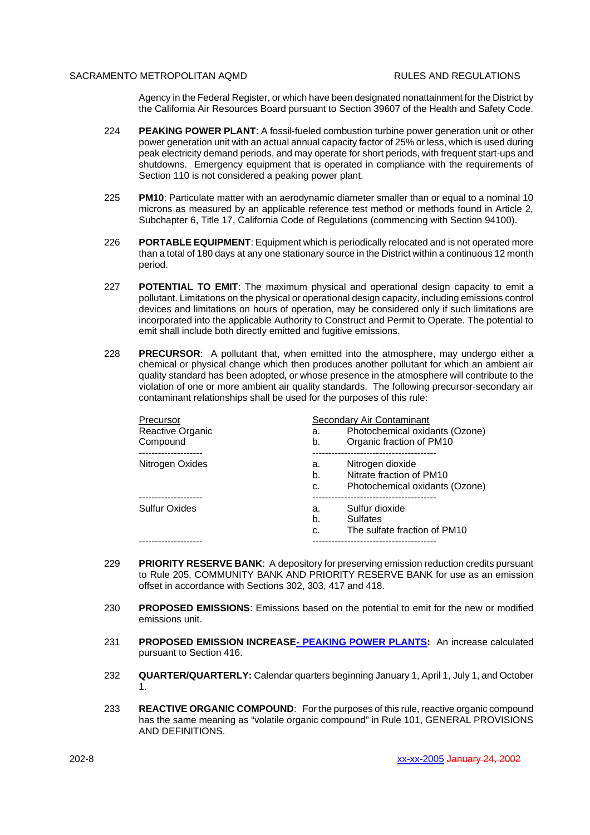Agency in the Federal Register, or which have been designated nonattainment for the District by the California Air Resources Board pursuant to Section 39607 of the Health and Safety Code.

- 224 **PEAKING POWER PLANT**: A fossil-fueled combustion turbine power generation unit or other power generation unit with an actual annual capacity factor of 25% or less, which is used during peak electricity demand periods, and may operate for short periods, with frequent start-ups and shutdowns. Emergency equipment that is operated in compliance with the requirements of Section 110 is not considered a peaking power plant.
- 225 **PM10**: Particulate matter with an aerodynamic diameter smaller than or equal to a nominal 10 microns as measured by an applicable reference test method or methods found in Article 2, Subchapter 6, Title 17, California Code of Regulations (commencing with Section 94100).
- 226 **PORTABLE EQUIPMENT**: Equipment which is periodically relocated and is not operated more than a total of 180 days at any one stationary source in the District within a continuous 12 month period.
- 227 **POTENTIAL TO EMIT**: The maximum physical and operational design capacity to emit a pollutant. Limitations on the physical or operational design capacity, including emissions control devices and limitations on hours of operation, may be considered only if such limitations are incorporated into the applicable Authority to Construct and Permit to Operate. The potential to emit shall include both directly emitted and fugitive emissions.
- 228 **PRECURSOR**: A pollutant that, when emitted into the atmosphere, may undergo either a chemical or physical change which then produces another pollutant for which an ambient air quality standard has been adopted, or whose presence in the atmosphere will contribute to the violation of one or more ambient air quality standards. The following precursor-secondary air contaminant relationships shall be used for the purposes of this rule:

| Precursor            | Secondary Air Contaminant            |  |
|----------------------|--------------------------------------|--|
| Reactive Organic     | Photochemical oxidants (Ozone)<br>а. |  |
| Compound             | Organic fraction of PM10<br>b.       |  |
|                      |                                      |  |
| Nitrogen Oxides      | Nitrogen dioxide<br>a.               |  |
|                      | Nitrate fraction of PM10<br>b.       |  |
|                      | Photochemical oxidants (Ozone)<br>C. |  |
|                      |                                      |  |
| <b>Sulfur Oxides</b> | Sulfur dioxide<br>а.                 |  |
|                      | Sulfates<br>b.                       |  |
|                      | The sulfate fraction of PM10<br>C.   |  |
|                      | -------------------------            |  |

- 229 **PRIORITY RESERVE BANK**: A depository for preserving emission reduction credits pursuant to Rule 205, COMMUNITY BANK AND PRIORITY RESERVE BANK for use as an emission offset in accordance with Sections 302, 303, 417 and 418.
- 230 **PROPOSED EMISSIONS**: Emissions based on the potential to emit for the new or modified emissions unit.
- 231 **PROPOSED EMISSION INCREASE- PEAKING POWER PLANTS:** An increase calculated pursuant to Section 416.
- 232 **QUARTER/QUARTERLY:** Calendar quarters beginning January 1, April 1, July 1, and October 1.
- 233 **REACTIVE ORGANIC COMPOUND**: For the purposes of this rule, reactive organic compound has the same meaning as "volatile organic compound" in Rule 101, GENERAL PROVISIONS AND DEFINITIONS.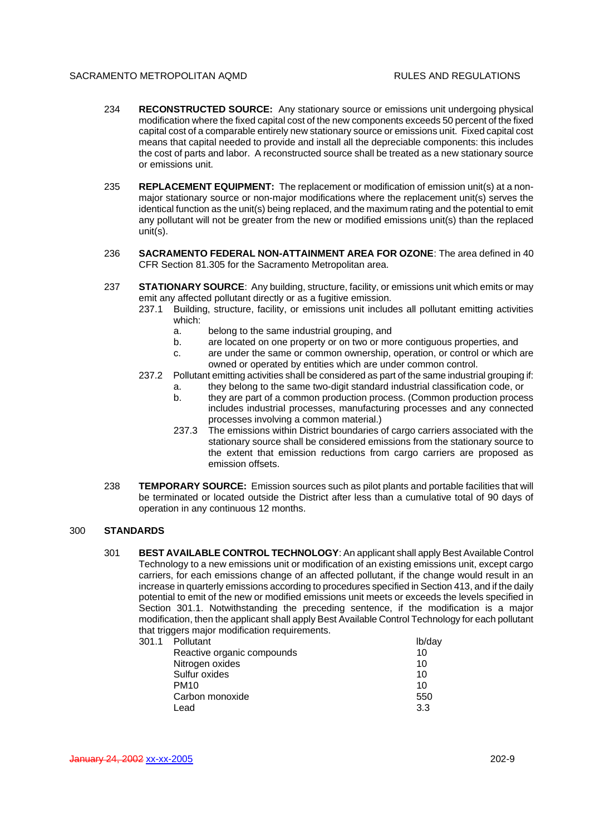- 234 **RECONSTRUCTED SOURCE:** Any stationary source or emissions unit undergoing physical modification where the fixed capital cost of the new components exceeds 50 percent of the fixed capital cost of a comparable entirely new stationary source or emissions unit. Fixed capital cost means that capital needed to provide and install all the depreciable components: this includes the cost of parts and labor. A reconstructed source shall be treated as a new stationary source or emissions unit.
- 235 **REPLACEMENT EQUIPMENT:** The replacement or modification of emission unit(s) at a nonmajor stationary source or non-major modifications where the replacement unit(s) serves the identical function as the unit(s) being replaced, and the maximum rating and the potential to emit any pollutant will not be greater from the new or modified emissions unit(s) than the replaced unit(s).
- 236 **SACRAMENTO FEDERAL NON-ATTAINMENT AREA FOR OZONE**: The area defined in 40 CFR Section 81.305 for the Sacramento Metropolitan area.
- 237 **STATIONARY SOURCE**: Any building, structure, facility, or emissions unit which emits or may emit any affected pollutant directly or as a fugitive emission.
	- 237.1 Building, structure, facility, or emissions unit includes all pollutant emitting activities which:
		- a. belong to the same industrial grouping, and
		- b. are located on one property or on two or more contiguous properties, and
		- c. are under the same or common ownership, operation, or control or which are owned or operated by entities which are under common control.
	- 237.2 Pollutant emitting activities shall be considered as part of the same industrial grouping if:
		- a. they belong to the same two-digit standard industrial classification code, or
		- b. they are part of a common production process. (Common production process includes industrial processes, manufacturing processes and any connected processes involving a common material.)
		- 237.3 The emissions within District boundaries of cargo carriers associated with the stationary source shall be considered emissions from the stationary source to the extent that emission reductions from cargo carriers are proposed as emission offsets.
- 238 **TEMPORARY SOURCE:** Emission sources such as pilot plants and portable facilities that will be terminated or located outside the District after less than a cumulative total of 90 days of operation in any continuous 12 months.

# 300 **STANDARDS**

301 **BEST AVAILABLE CONTROL TECHNOLOGY**: An applicant shall apply Best Available Control Technology to a new emissions unit or modification of an existing emissions unit, except cargo carriers, for each emissions change of an affected pollutant, if the change would result in an increase in quarterly emissions according to procedures specified in Section 413, and if the daily potential to emit of the new or modified emissions unit meets or exceeds the levels specified in Section 301.1. Notwithstanding the preceding sentence, if the modification is a major modification, then the applicant shall apply Best Available Control Technology for each pollutant that triggers major modification requirements.

| 301.1 | Pollutant                  | lb/day |
|-------|----------------------------|--------|
|       | Reactive organic compounds | 10     |
|       | Nitrogen oxides            | 10     |
|       | Sulfur oxides              | 10     |
|       | <b>PM10</b>                | 10     |
|       | Carbon monoxide            | 550    |
|       | Lead                       | 3.3    |
|       |                            |        |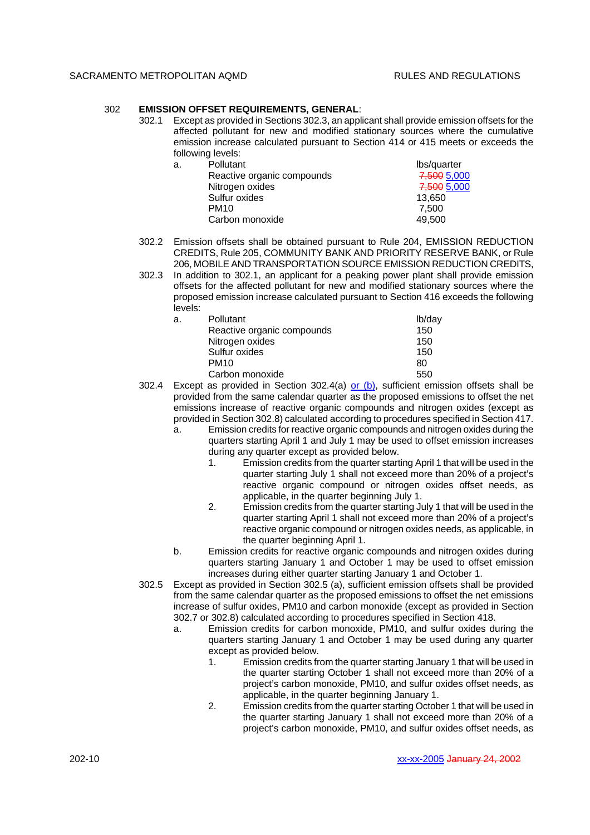## 302 **EMISSION OFFSET REQUIREMENTS, GENERAL**:

302.1 Except as provided in Sections 302.3, an applicant shall provide emission offsets for the affected pollutant for new and modified stationary sources where the cumulative emission increase calculated pursuant to Section 414 or 415 meets or exceeds the following levels:

|    | .                          |             |
|----|----------------------------|-------------|
| a. | <b>Pollutant</b>           | lbs/quarter |
|    | Reactive organic compounds | 7,500 5,000 |
|    | Nitrogen oxides            | 7,500 5,000 |
|    | Sulfur oxides              | 13,650      |
|    | <b>PM10</b>                | 7.500       |
|    | Carbon monoxide            | 49.500      |

- 302.2 Emission offsets shall be obtained pursuant to Rule 204, EMISSION REDUCTION CREDITS, Rule 205, COMMUNITY BANK AND PRIORITY RESERVE BANK, or Rule 206, MOBILE AND TRANSPORTATION SOURCE EMISSION REDUCTION CREDITS,
- 302.3 In addition to 302.1, an applicant for a peaking power plant shall provide emission offsets for the affected pollutant for new and modified stationary sources where the proposed emission increase calculated pursuant to Section 416 exceeds the following levels:

| а. | Pollutant                  | lb/day |
|----|----------------------------|--------|
|    | Reactive organic compounds | 150    |
|    | Nitrogen oxides            | 150    |
|    | Sulfur oxides              | 150    |
|    | <b>PM10</b>                | 80     |
|    | Carbon monoxide            | 550    |

- 302.4 Except as provided in Section 302.4(a) or  $(b)$ , sufficient emission offsets shall be provided from the same calendar quarter as the proposed emissions to offset the net emissions increase of reactive organic compounds and nitrogen oxides (except as provided in Section 302.8) calculated according to procedures specified in Section 417.
	- a. Emission credits for reactive organic compounds and nitrogen oxides during the quarters starting April 1 and July 1 may be used to offset emission increases during any quarter except as provided below.
		- 1. Emission credits from the quarter starting April 1 that will be used in the quarter starting July 1 shall not exceed more than 20% of a project's reactive organic compound or nitrogen oxides offset needs, as applicable, in the quarter beginning July 1.
		- 2. Emission credits from the quarter starting July 1 that will be used in the quarter starting April 1 shall not exceed more than 20% of a project's reactive organic compound or nitrogen oxides needs, as applicable, in the quarter beginning April 1.
	- b. Emission credits for reactive organic compounds and nitrogen oxides during quarters starting January 1 and October 1 may be used to offset emission increases during either quarter starting January 1 and October 1.
- 302.5 Except as provided in Section 302.5 (a), sufficient emission offsets shall be provided from the same calendar quarter as the proposed emissions to offset the net emissions increase of sulfur oxides, PM10 and carbon monoxide (except as provided in Section 302.7 or 302.8) calculated according to procedures specified in Section 418.
	- a. Emission credits for carbon monoxide, PM10, and sulfur oxides during the quarters starting January 1 and October 1 may be used during any quarter except as provided below.
		- 1. Emission credits from the quarter starting January 1 that will be used in the quarter starting October 1 shall not exceed more than 20% of a project's carbon monoxide, PM10, and sulfur oxides offset needs, as applicable, in the quarter beginning January 1.
		- 2. Emission credits from the quarter starting October 1 that will be used in the quarter starting January 1 shall not exceed more than 20% of a project's carbon monoxide, PM10, and sulfur oxides offset needs, as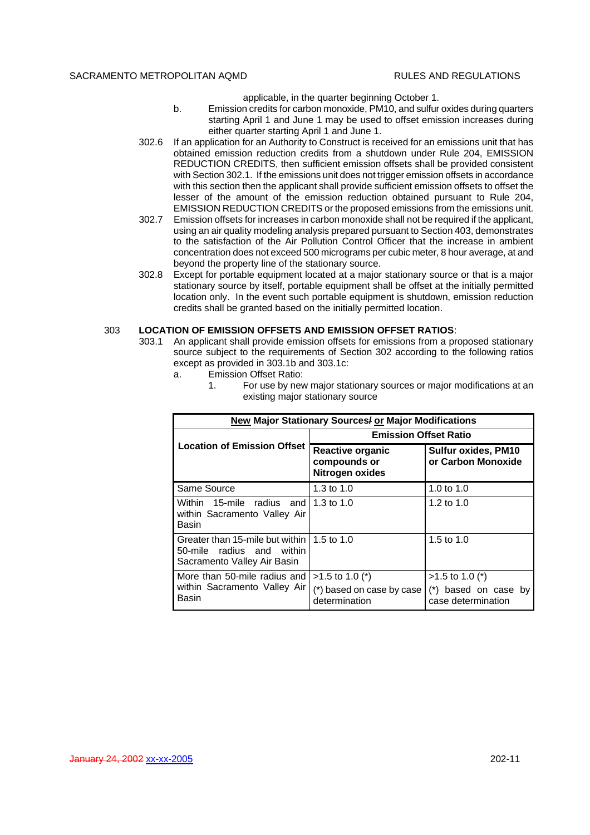applicable, in the quarter beginning October 1.

- b. Emission credits for carbon monoxide, PM10, and sulfur oxides during quarters starting April 1 and June 1 may be used to offset emission increases during either quarter starting April 1 and June 1.
- 302.6 If an application for an Authority to Construct is received for an emissions unit that has obtained emission reduction credits from a shutdown under Rule 204, EMISSION REDUCTION CREDITS, then sufficient emission offsets shall be provided consistent with Section 302.1. If the emissions unit does not trigger emission offsets in accordance with this section then the applicant shall provide sufficient emission offsets to offset the lesser of the amount of the emission reduction obtained pursuant to Rule 204, EMISSION REDUCTION CREDITS or the proposed emissions from the emissions unit.
- 302.7 Emission offsets for increases in carbon monoxide shall not be required if the applicant, using an air quality modeling analysis prepared pursuant to Section 403, demonstrates to the satisfaction of the Air Pollution Control Officer that the increase in ambient concentration does not exceed 500 micrograms per cubic meter, 8 hour average, at and beyond the property line of the stationary source.
- 302.8 Except for portable equipment located at a major stationary source or that is a major stationary source by itself, portable equipment shall be offset at the initially permitted location only. In the event such portable equipment is shutdown, emission reduction credits shall be granted based on the initially permitted location.

## 303 **LOCATION OF EMISSION OFFSETS AND EMISSION OFFSET RATIOS**:

- 303.1 An applicant shall provide emission offsets for emissions from a proposed stationary source subject to the requirements of Section 302 according to the following ratios except as provided in 303.1b and 303.1c:
	- a. Emission Offset Ratio:

| <b>New Major Stationary Sources/ or Major Modifications</b>                                            |                                                                 |                                                                 |
|--------------------------------------------------------------------------------------------------------|-----------------------------------------------------------------|-----------------------------------------------------------------|
|                                                                                                        | <b>Emission Offset Ratio</b>                                    |                                                                 |
| <b>Location of Emission Offset</b>                                                                     | Reactive organic<br>compounds or<br>Nitrogen oxides             | <b>Sulfur oxides, PM10</b><br>or Carbon Monoxide                |
| Same Source                                                                                            | 1.3 to $1.0$                                                    | 1.0 to $1.0$                                                    |
| Within 15-mile radius and<br>within Sacramento Valley Air<br>Basin                                     | 1.3 to $1.0$                                                    | 1.2 to $1.0$                                                    |
| Greater than 15-mile but within 1.5 to 1.0<br>50-mile radius and within<br>Sacramento Valley Air Basin |                                                                 | 1.5 to $1.0$                                                    |
| More than 50-mile radius and l<br>within Sacramento Valley Air<br>Basin                                | $>1.5$ to 1.0 (*)<br>(*) based on case by case<br>determination | $>1.5$ to 1.0 (*)<br>(*) based on case by<br>case determination |

1. For use by new major stationary sources or major modifications at an existing major stationary source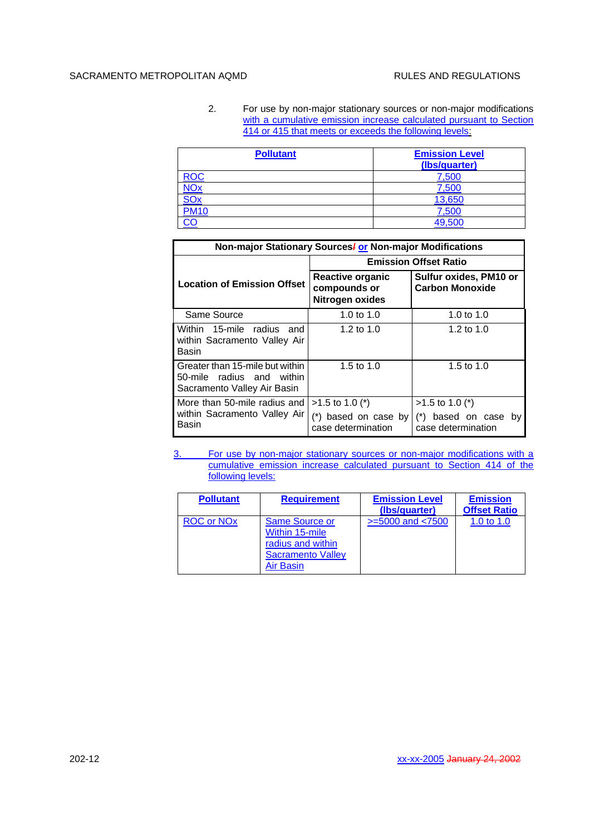2. For use by non-major stationary sources or non-major modifications with a cumulative emission increase calculated pursuant to Section 414 or 415 that meets or exceeds the following levels:

| <b>Pollutant</b> | <b>Emission Level</b><br>(Ibs/quarter) |
|------------------|----------------------------------------|
| <b>ROC</b>       | 7,500                                  |
| <b>NOx</b>       | 7,500                                  |
| SOx              | 13,650                                 |
| <b>PM10</b>      | 7,500                                  |
|                  | 49,500                                 |

| Non-major Stationary Sources/ or Non-major Modifications                                    |                                                            |                                                  |
|---------------------------------------------------------------------------------------------|------------------------------------------------------------|--------------------------------------------------|
|                                                                                             | <b>Emission Offset Ratio</b>                               |                                                  |
| <b>Location of Emission Offset</b>                                                          | <b>Reactive organic</b><br>compounds or<br>Nitrogen oxides | Sulfur oxides, PM10 or<br><b>Carbon Monoxide</b> |
| Same Source                                                                                 | 1.0 to 1.0                                                 | 1.0 to $1.0$                                     |
| Within 15-mile radius<br>and<br>within Sacramento Valley Air<br>Basin                       | 1.2 to $1.0$                                               | 1.2 to $1.0$                                     |
| Greater than 15-mile but within<br>50-mile radius and within<br>Sacramento Valley Air Basin | 1.5 to 1.0                                                 | 1.5 to 1.0                                       |
| More than 50-mile radius and I                                                              | $>1.5$ to 1.0 (*)                                          | $>1.5$ to 1.0 (*)                                |
| within Sacramento Valley Air<br>Basin                                                       | (*) based on case by<br>case determination                 | (*) based on case<br>bv<br>case determination    |

3. For use by non-major stationary sources or non-major modifications with a cumulative emission increase calculated pursuant to Section 414 of the following levels:

| <b>Pollutant</b>  | <b>Requirement</b>                                                                                    | <b>Emission Level</b><br>(Ibs/quarter) | <b>Emission</b><br><b>Offset Ratio</b> |
|-------------------|-------------------------------------------------------------------------------------------------------|----------------------------------------|----------------------------------------|
| <b>ROC or NOx</b> | <b>Same Source or</b><br>Within 15-mile<br>radius and within<br><b>Sacramento Valley</b><br>Air Basin | $>= 5000$ and $< 7500$                 | 1.0 to 1.0                             |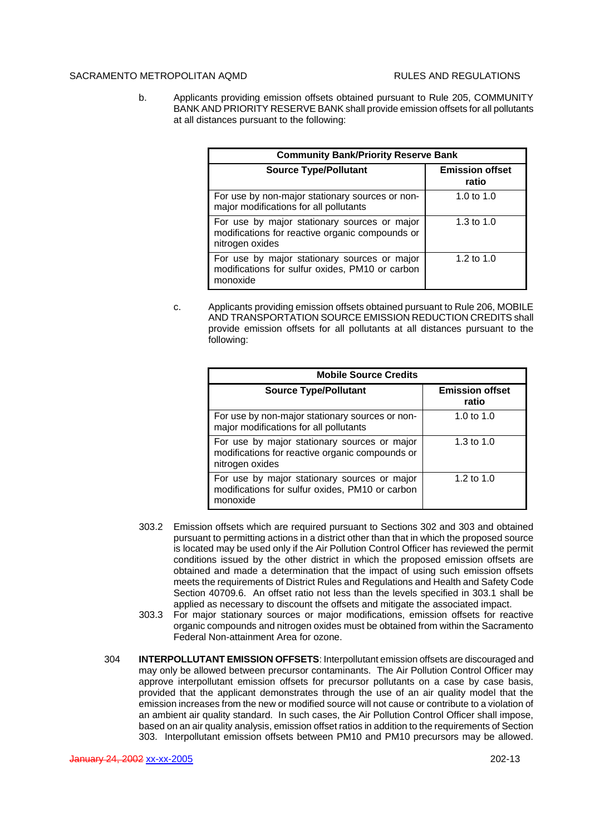b. Applicants providing emission offsets obtained pursuant to Rule 205, COMMUNITY BANK AND PRIORITY RESERVE BANK shall provide emission offsets for all pollutants at all distances pursuant to the following:

| <b>Community Bank/Priority Reserve Bank</b>                                                                        |                                 |
|--------------------------------------------------------------------------------------------------------------------|---------------------------------|
| <b>Source Type/Pollutant</b>                                                                                       | <b>Emission offset</b><br>ratio |
| For use by non-major stationary sources or non-<br>major modifications for all pollutants                          | 1.0 to 1.0                      |
| For use by major stationary sources or major<br>modifications for reactive organic compounds or<br>nitrogen oxides | 1.3 to $1.0$                    |
| For use by major stationary sources or major<br>modifications for sulfur oxides, PM10 or carbon<br>monoxide        | 1.2 to $1.0$                    |

c. Applicants providing emission offsets obtained pursuant to Rule 206, MOBILE AND TRANSPORTATION SOURCE EMISSION REDUCTION CREDITS shall provide emission offsets for all pollutants at all distances pursuant to the following:

| <b>Mobile Source Credits</b>                                                                                       |                                 |
|--------------------------------------------------------------------------------------------------------------------|---------------------------------|
| <b>Source Type/Pollutant</b>                                                                                       | <b>Emission offset</b><br>ratio |
| For use by non-major stationary sources or non-<br>major modifications for all pollutants                          | 1.0 to 1.0                      |
| For use by major stationary sources or major<br>modifications for reactive organic compounds or<br>nitrogen oxides | 1.3 to $1.0$                    |
| For use by major stationary sources or major<br>modifications for sulfur oxides, PM10 or carbon<br>monoxide        | 1.2 to 1.0                      |

- 303.2 Emission offsets which are required pursuant to Sections 302 and 303 and obtained pursuant to permitting actions in a district other than that in which the proposed source is located may be used only if the Air Pollution Control Officer has reviewed the permit conditions issued by the other district in which the proposed emission offsets are obtained and made a determination that the impact of using such emission offsets meets the requirements of District Rules and Regulations and Health and Safety Code Section 40709.6. An offset ratio not less than the levels specified in 303.1 shall be applied as necessary to discount the offsets and mitigate the associated impact.
- 303.3 For major stationary sources or major modifications, emission offsets for reactive organic compounds and nitrogen oxides must be obtained from within the Sacramento Federal Non-attainment Area for ozone.
- 304 **INTERPOLLUTANT EMISSION OFFSETS**: Interpollutant emission offsets are discouraged and may only be allowed between precursor contaminants. The Air Pollution Control Officer may approve interpollutant emission offsets for precursor pollutants on a case by case basis, provided that the applicant demonstrates through the use of an air quality model that the emission increases from the new or modified source will not cause or contribute to a violation of an ambient air quality standard. In such cases, the Air Pollution Control Officer shall impose, based on an air quality analysis, emission offset ratios in addition to the requirements of Section 303. Interpollutant emission offsets between PM10 and PM10 precursors may be allowed.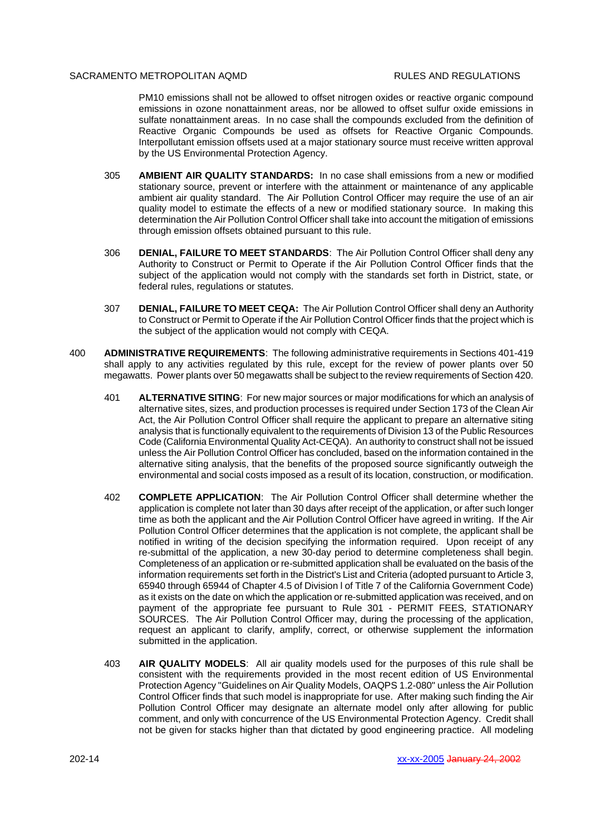PM10 emissions shall not be allowed to offset nitrogen oxides or reactive organic compound emissions in ozone nonattainment areas, nor be allowed to offset sulfur oxide emissions in sulfate nonattainment areas. In no case shall the compounds excluded from the definition of Reactive Organic Compounds be used as offsets for Reactive Organic Compounds. Interpollutant emission offsets used at a major stationary source must receive written approval by the US Environmental Protection Agency.

- 305 **AMBIENT AIR QUALITY STANDARDS:** In no case shall emissions from a new or modified stationary source, prevent or interfere with the attainment or maintenance of any applicable ambient air quality standard. The Air Pollution Control Officer may require the use of an air quality model to estimate the effects of a new or modified stationary source. In making this determination the Air Pollution Control Officer shall take into account the mitigation of emissions through emission offsets obtained pursuant to this rule.
- 306 **DENIAL, FAILURE TO MEET STANDARDS**: The Air Pollution Control Officer shall deny any Authority to Construct or Permit to Operate if the Air Pollution Control Officer finds that the subject of the application would not comply with the standards set forth in District, state, or federal rules, regulations or statutes.
- 307 **DENIAL, FAILURE TO MEET CEQA:** The Air Pollution Control Officer shall deny an Authority to Construct or Permit to Operate if the Air Pollution Control Officer finds that the project which is the subject of the application would not comply with CEQA.
- 400 **ADMINISTRATIVE REQUIREMENTS**: The following administrative requirements in Sections 401-419 shall apply to any activities regulated by this rule, except for the review of power plants over 50 megawatts. Power plants over 50 megawatts shall be subject to the review requirements of Section 420.
	- 401 **ALTERNATIVE SITING**: For new major sources or major modifications for which an analysis of alternative sites, sizes, and production processes is required under Section 173 of the Clean Air Act, the Air Pollution Control Officer shall require the applicant to prepare an alternative siting analysis that is functionally equivalent to the requirements of Division 13 of the Public Resources Code (California Environmental Quality Act-CEQA). An authority to construct shall not be issued unless the Air Pollution Control Officer has concluded, based on the information contained in the alternative siting analysis, that the benefits of the proposed source significantly outweigh the environmental and social costs imposed as a result of its location, construction, or modification.
	- 402 **COMPLETE APPLICATION**: The Air Pollution Control Officer shall determine whether the application is complete not later than 30 days after receipt of the application, or after such longer time as both the applicant and the Air Pollution Control Officer have agreed in writing. If the Air Pollution Control Officer determines that the application is not complete, the applicant shall be notified in writing of the decision specifying the information required. Upon receipt of any re-submittal of the application, a new 30-day period to determine completeness shall begin. Completeness of an application or re-submitted application shall be evaluated on the basis of the information requirements set forth in the District's List and Criteria (adopted pursuant to Article 3, 65940 through 65944 of Chapter 4.5 of Division l of Title 7 of the California Government Code) as it exists on the date on which the application or re-submitted application was received, and on payment of the appropriate fee pursuant to Rule 301 - PERMIT FEES, STATIONARY SOURCES. The Air Pollution Control Officer may, during the processing of the application, request an applicant to clarify, amplify, correct, or otherwise supplement the information submitted in the application.
	- 403 **AIR QUALITY MODELS**: All air quality models used for the purposes of this rule shall be consistent with the requirements provided in the most recent edition of US Environmental Protection Agency "Guidelines on Air Quality Models, OAQPS 1.2-080" unless the Air Pollution Control Officer finds that such model is inappropriate for use. After making such finding the Air Pollution Control Officer may designate an alternate model only after allowing for public comment, and only with concurrence of the US Environmental Protection Agency. Credit shall not be given for stacks higher than that dictated by good engineering practice. All modeling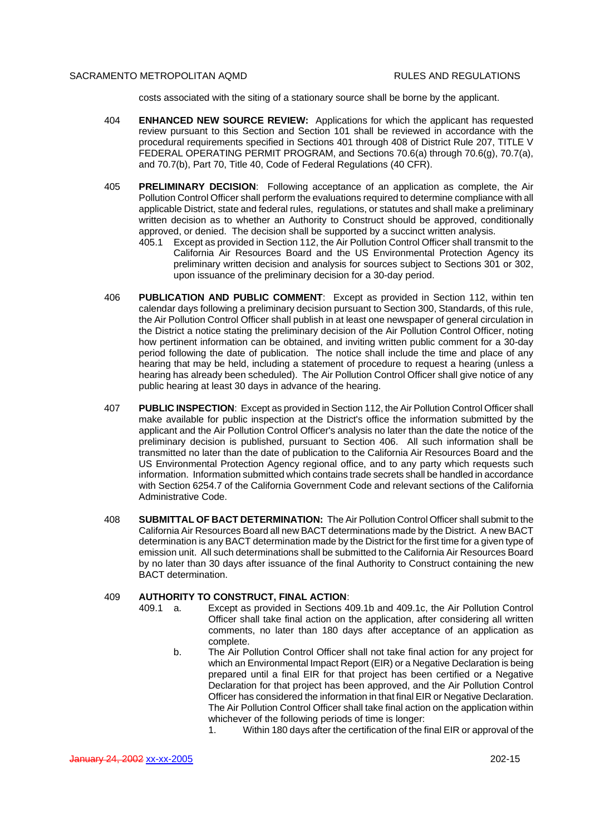costs associated with the siting of a stationary source shall be borne by the applicant.

- 404 **ENHANCED NEW SOURCE REVIEW:** Applications for which the applicant has requested review pursuant to this Section and Section 101 shall be reviewed in accordance with the procedural requirements specified in Sections 401 through 408 of District Rule 207, TITLE V FEDERAL OPERATING PERMIT PROGRAM, and Sections 70.6(a) through 70.6(g), 70.7(a), and 70.7(b), Part 70, Title 40, Code of Federal Regulations (40 CFR).
- 405 **PRELIMINARY DECISION**: Following acceptance of an application as complete, the Air Pollution Control Officer shall perform the evaluations required to determine compliance with all applicable District, state and federal rules, regulations, or statutes and shall make a preliminary written decision as to whether an Authority to Construct should be approved, conditionally approved, or denied. The decision shall be supported by a succinct written analysis.
	- 405.1 Except as provided in Section 112, the Air Pollution Control Officer shall transmit to the California Air Resources Board and the US Environmental Protection Agency its preliminary written decision and analysis for sources subject to Sections 301 or 302, upon issuance of the preliminary decision for a 30-day period.
- 406 **PUBLICATION AND PUBLIC COMMENT**: Except as provided in Section 112, within ten calendar days following a preliminary decision pursuant to Section 300, Standards, of this rule, the Air Pollution Control Officer shall publish in at least one newspaper of general circulation in the District a notice stating the preliminary decision of the Air Pollution Control Officer, noting how pertinent information can be obtained, and inviting written public comment for a 30-day period following the date of publication. The notice shall include the time and place of any hearing that may be held, including a statement of procedure to request a hearing (unless a hearing has already been scheduled). The Air Pollution Control Officer shall give notice of any public hearing at least 30 days in advance of the hearing.
- 407 **PUBLIC INSPECTION**: Except as provided in Section 112, the Air Pollution Control Officer shall make available for public inspection at the District's office the information submitted by the applicant and the Air Pollution Control Officer's analysis no later than the date the notice of the preliminary decision is published, pursuant to Section 406. All such information shall be transmitted no later than the date of publication to the California Air Resources Board and the US Environmental Protection Agency regional office, and to any party which requests such information. Information submitted which contains trade secrets shall be handled in accordance with Section 6254.7 of the California Government Code and relevant sections of the California Administrative Code.
- 408 **SUBMITTAL OF BACT DETERMINATION:** The Air Pollution Control Officer shall submit to the California Air Resources Board all new BACT determinations made by the District. A new BACT determination is any BACT determination made by the District for the first time for a given type of emission unit. All such determinations shall be submitted to the California Air Resources Board by no later than 30 days after issuance of the final Authority to Construct containing the new BACT determination.

## 409 **AUTHORITY TO CONSTRUCT, FINAL ACTION**:

- 409.1 a. Except as provided in Sections 409.1b and 409.1c, the Air Pollution Control Officer shall take final action on the application, after considering all written comments, no later than 180 days after acceptance of an application as complete.
	- b. The Air Pollution Control Officer shall not take final action for any project for which an Environmental Impact Report (EIR) or a Negative Declaration is being prepared until a final EIR for that project has been certified or a Negative Declaration for that project has been approved, and the Air Pollution Control Officer has considered the information in that final EIR or Negative Declaration. The Air Pollution Control Officer shall take final action on the application within whichever of the following periods of time is longer:
		- 1. Within 180 days after the certification of the final EIR or approval of the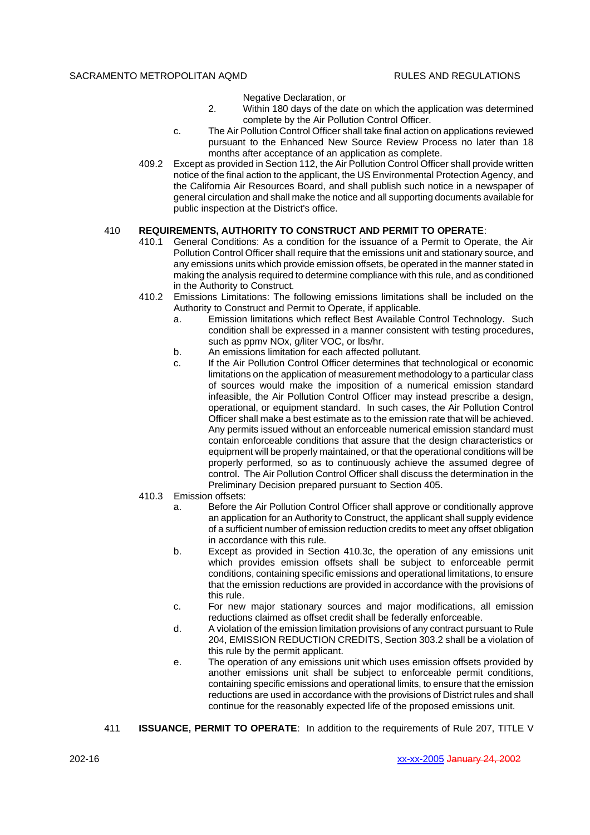Negative Declaration, or

- 2. Within 180 days of the date on which the application was determined complete by the Air Pollution Control Officer.
- c. The Air Pollution Control Officer shall take final action on applications reviewed pursuant to the Enhanced New Source Review Process no later than 18 months after acceptance of an application as complete.
- 409.2 Except as provided in Section 112, the Air Pollution Control Officer shall provide written notice of the final action to the applicant, the US Environmental Protection Agency, and the California Air Resources Board, and shall publish such notice in a newspaper of general circulation and shall make the notice and all supporting documents available for public inspection at the District's office.

## 410 **REQUIREMENTS, AUTHORITY TO CONSTRUCT AND PERMIT TO OPERATE**:

- 410.1 General Conditions: As a condition for the issuance of a Permit to Operate, the Air Pollution Control Officer shall require that the emissions unit and stationary source, and any emissions units which provide emission offsets, be operated in the manner stated in making the analysis required to determine compliance with this rule, and as conditioned in the Authority to Construct.
- 410.2 Emissions Limitations: The following emissions limitations shall be included on the Authority to Construct and Permit to Operate, if applicable.
	- a. Emission limitations which reflect Best Available Control Technology. Such condition shall be expressed in a manner consistent with testing procedures, such as ppmv NOx, g/liter VOC, or lbs/hr.
	- b. An emissions limitation for each affected pollutant.
	- c. If the Air Pollution Control Officer determines that technological or economic limitations on the application of measurement methodology to a particular class of sources would make the imposition of a numerical emission standard infeasible, the Air Pollution Control Officer may instead prescribe a design, operational, or equipment standard. In such cases, the Air Pollution Control Officer shall make a best estimate as to the emission rate that will be achieved. Any permits issued without an enforceable numerical emission standard must contain enforceable conditions that assure that the design characteristics or equipment will be properly maintained, or that the operational conditions will be properly performed, so as to continuously achieve the assumed degree of control. The Air Pollution Control Officer shall discuss the determination in the Preliminary Decision prepared pursuant to Section 405.
- 410.3 Emission offsets:
	- a. Before the Air Pollution Control Officer shall approve or conditionally approve an application for an Authority to Construct, the applicant shall supply evidence of a sufficient number of emission reduction credits to meet any offset obligation in accordance with this rule.
	- b. Except as provided in Section 410.3c, the operation of any emissions unit which provides emission offsets shall be subject to enforceable permit conditions, containing specific emissions and operational limitations, to ensure that the emission reductions are provided in accordance with the provisions of this rule.
	- c. For new major stationary sources and major modifications, all emission reductions claimed as offset credit shall be federally enforceable.
	- d. A violation of the emission limitation provisions of any contract pursuant to Rule 204, EMISSION REDUCTION CREDITS, Section 303.2 shall be a violation of this rule by the permit applicant.
	- e. The operation of any emissions unit which uses emission offsets provided by another emissions unit shall be subject to enforceable permit conditions, containing specific emissions and operational limits, to ensure that the emission reductions are used in accordance with the provisions of District rules and shall continue for the reasonably expected life of the proposed emissions unit.
- 411 **ISSUANCE, PERMIT TO OPERATE**: In addition to the requirements of Rule 207, TITLE V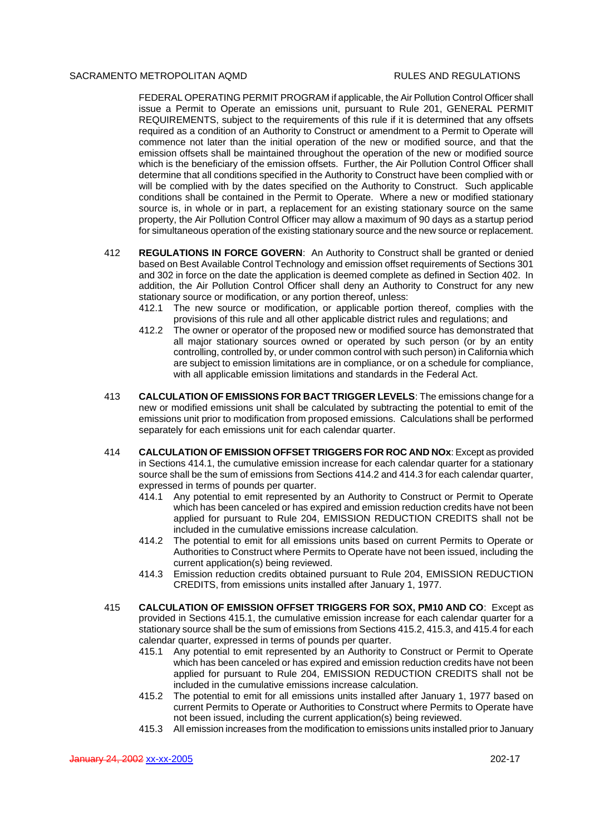FEDERAL OPERATING PERMIT PROGRAM if applicable, the Air Pollution Control Officer shall issue a Permit to Operate an emissions unit, pursuant to Rule 201, GENERAL PERMIT REQUIREMENTS, subject to the requirements of this rule if it is determined that any offsets required as a condition of an Authority to Construct or amendment to a Permit to Operate will commence not later than the initial operation of the new or modified source, and that the emission offsets shall be maintained throughout the operation of the new or modified source which is the beneficiary of the emission offsets. Further, the Air Pollution Control Officer shall determine that all conditions specified in the Authority to Construct have been complied with or will be complied with by the dates specified on the Authority to Construct. Such applicable conditions shall be contained in the Permit to Operate. Where a new or modified stationary source is, in whole or in part, a replacement for an existing stationary source on the same property, the Air Pollution Control Officer may allow a maximum of 90 days as a startup period for simultaneous operation of the existing stationary source and the new source or replacement.

- 412 **REGULATIONS IN FORCE GOVERN**: An Authority to Construct shall be granted or denied based on Best Available Control Technology and emission offset requirements of Sections 301 and 302 in force on the date the application is deemed complete as defined in Section 402. In addition, the Air Pollution Control Officer shall deny an Authority to Construct for any new stationary source or modification, or any portion thereof, unless:
	- 412.1 The new source or modification, or applicable portion thereof, complies with the provisions of this rule and all other applicable district rules and regulations; and
	- 412.2 The owner or operator of the proposed new or modified source has demonstrated that all major stationary sources owned or operated by such person (or by an entity controlling, controlled by, or under common control with such person) in California which are subject to emission limitations are in compliance, or on a schedule for compliance, with all applicable emission limitations and standards in the Federal Act.
- 413 **CALCULATION OF EMISSIONS FOR BACT TRIGGER LEVELS**: The emissions change for a new or modified emissions unit shall be calculated by subtracting the potential to emit of the emissions unit prior to modification from proposed emissions. Calculations shall be performed separately for each emissions unit for each calendar quarter.
- 414 **CALCULATION OF EMISSION OFFSET TRIGGERS FOR ROC AND NOx**: Except as provided in Sections 414.1, the cumulative emission increase for each calendar quarter for a stationary source shall be the sum of emissions from Sections 414.2 and 414.3 for each calendar quarter, expressed in terms of pounds per quarter.<br>414.1 Any potential to emit represented
	- 414.1 Any potential to emit represented by an Authority to Construct or Permit to Operate which has been canceled or has expired and emission reduction credits have not been applied for pursuant to Rule 204, EMISSION REDUCTION CREDITS shall not be included in the cumulative emissions increase calculation.
	- 414.2 The potential to emit for all emissions units based on current Permits to Operate or Authorities to Construct where Permits to Operate have not been issued, including the current application(s) being reviewed.
	- 414.3 Emission reduction credits obtained pursuant to Rule 204, EMISSION REDUCTION CREDITS, from emissions units installed after January 1, 1977.
- 415 **CALCULATION OF EMISSION OFFSET TRIGGERS FOR SOX, PM10 AND CO**: Except as provided in Sections 415.1, the cumulative emission increase for each calendar quarter for a stationary source shall be the sum of emissions from Sections 415.2, 415.3, and 415.4 for each calendar quarter, expressed in terms of pounds per quarter.
	- 415.1 Any potential to emit represented by an Authority to Construct or Permit to Operate which has been canceled or has expired and emission reduction credits have not been applied for pursuant to Rule 204, EMISSION REDUCTION CREDITS shall not be included in the cumulative emissions increase calculation.
	- 415.2 The potential to emit for all emissions units installed after January 1, 1977 based on current Permits to Operate or Authorities to Construct where Permits to Operate have not been issued, including the current application(s) being reviewed.
	- 415.3 All emission increases from the modification to emissions units installed prior to January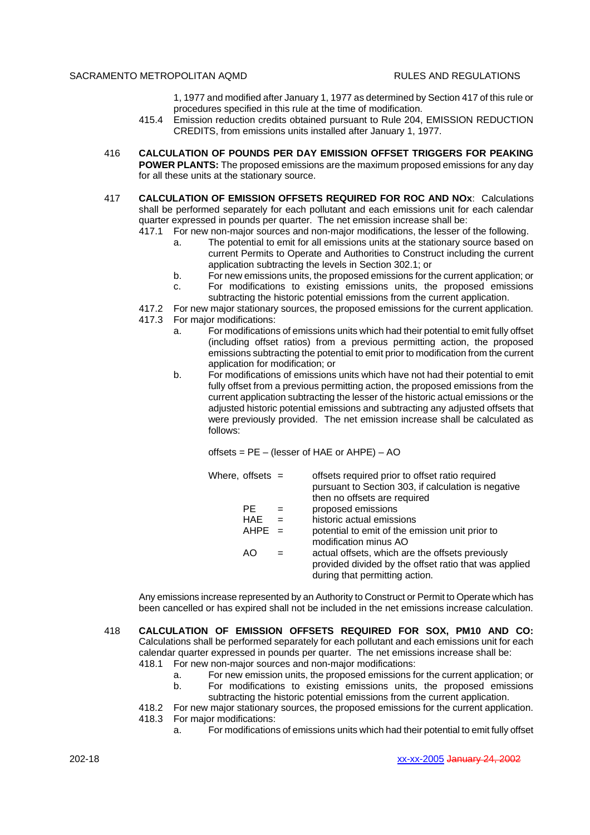- 1, 1977 and modified after January 1, 1977 as determined by Section 417 of this rule or procedures specified in this rule at the time of modification.
- 415.4 Emission reduction credits obtained pursuant to Rule 204, EMISSION REDUCTION CREDITS, from emissions units installed after January 1, 1977.
- 416 **CALCULATION OF POUNDS PER DAY EMISSION OFFSET TRIGGERS FOR PEAKING POWER PLANTS:** The proposed emissions are the maximum proposed emissions for any day for all these units at the stationary source.
- 417 **CALCULATION OF EMISSION OFFSETS REQUIRED FOR ROC AND NOx**: Calculations shall be performed separately for each pollutant and each emissions unit for each calendar quarter expressed in pounds per quarter. The net emission increase shall be:
	- 417.1 For new non-major sources and non-major modifications, the lesser of the following.
		- a. The potential to emit for all emissions units at the stationary source based on current Permits to Operate and Authorities to Construct including the current application subtracting the levels in Section 302.1; or
		- b. For new emissions units, the proposed emissions for the current application; or
		- c. For modifications to existing emissions units, the proposed emissions subtracting the historic potential emissions from the current application.
	- 417.2 For new major stationary sources, the proposed emissions for the current application.
	- 417.3 For major modifications:
		- a. For modifications of emissions units which had their potential to emit fully offset (including offset ratios) from a previous permitting action, the proposed emissions subtracting the potential to emit prior to modification from the current application for modification; or
		- b. For modifications of emissions units which have not had their potential to emit fully offset from a previous permitting action, the proposed emissions from the current application subtracting the lesser of the historic actual emissions or the adjusted historic potential emissions and subtracting any adjusted offsets that were previously provided. The net emission increase shall be calculated as follows:

offsets = PE – (lesser of HAE or AHPE) – AO

| Where, offsets = |        | offsets required prior to offset ratio required<br>pursuant to Section 303, if calculation is negative<br>then no offsets are required      |
|------------------|--------|---------------------------------------------------------------------------------------------------------------------------------------------|
| PE.              | $=$    | proposed emissions                                                                                                                          |
| <b>HAE</b>       |        | historic actual emissions                                                                                                                   |
| <b>AHPE</b>      | $\sim$ | potential to emit of the emission unit prior to<br>modification minus AO                                                                    |
| AO               |        | actual offsets, which are the offsets previously<br>provided divided by the offset ratio that was applied<br>during that permitting action. |

Any emissions increase represented by an Authority to Construct or Permit to Operate which has been cancelled or has expired shall not be included in the net emissions increase calculation.

- 418 **CALCULATION OF EMISSION OFFSETS REQUIRED FOR SOX, PM10 AND CO:** Calculations shall be performed separately for each pollutant and each emissions unit for each calendar quarter expressed in pounds per quarter. The net emissions increase shall be:<br>418.1 For new non-maior sources and non-maior modifications: For new non-major sources and non-major modifications:
	- a. For new emission units, the proposed emissions for the current application; or
	- b. For modifications to existing emissions units, the proposed emissions
	- subtracting the historic potential emissions from the current application.
	- 418.2 For new major stationary sources, the proposed emissions for the current application. 418.3 For major modifications:
		- a. For modifications of emissions units which had their potential to emit fully offset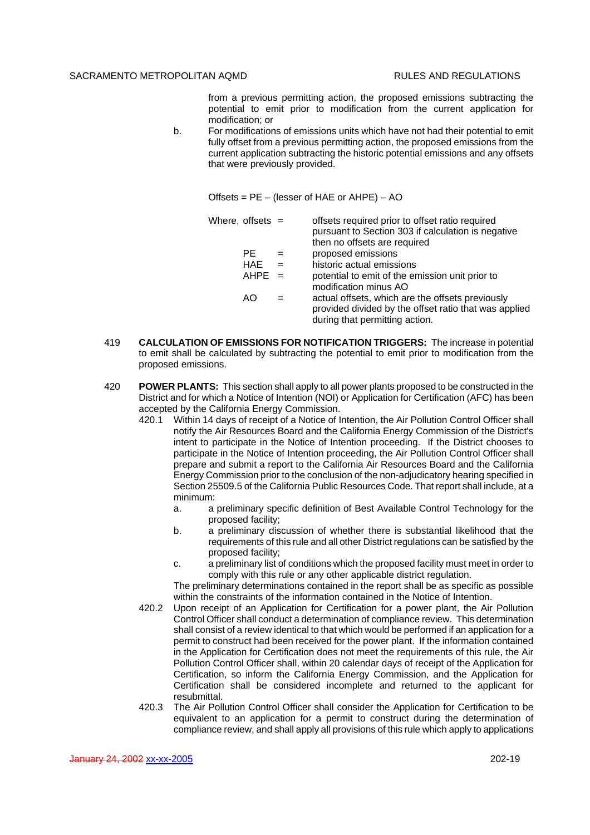from a previous permitting action, the proposed emissions subtracting the potential to emit prior to modification from the current application for modification; or

b. For modifications of emissions units which have not had their potential to emit fully offset from a previous permitting action, the proposed emissions from the current application subtracting the historic potential emissions and any offsets that were previously provided.

Offsets = PE – (lesser of HAE or AHPE) – AO

|  | Where, offsets = |     | offsets required prior to offset ratio required<br>pursuant to Section 303 if calculation is negative<br>then no offsets are required       |
|--|------------------|-----|---------------------------------------------------------------------------------------------------------------------------------------------|
|  | PE.              | $=$ | proposed emissions                                                                                                                          |
|  | <b>HAE</b>       |     | historic actual emissions                                                                                                                   |
|  | $AHPE =$         |     | potential to emit of the emission unit prior to<br>modification minus AO                                                                    |
|  | AO               |     | actual offsets, which are the offsets previously<br>provided divided by the offset ratio that was applied<br>during that permitting action. |

- 419 **CALCULATION OF EMISSIONS FOR NOTIFICATION TRIGGERS:** The increase in potential to emit shall be calculated by subtracting the potential to emit prior to modification from the proposed emissions.
- 420 **POWER PLANTS:** This section shall apply to all power plants proposed to be constructed in the District and for which a Notice of Intention (NOI) or Application for Certification (AFC) has been accepted by the California Energy Commission.
	- 420.1 Within 14 days of receipt of a Notice of Intention, the Air Pollution Control Officer shall notify the Air Resources Board and the California Energy Commission of the District's intent to participate in the Notice of Intention proceeding. If the District chooses to participate in the Notice of Intention proceeding, the Air Pollution Control Officer shall prepare and submit a report to the California Air Resources Board and the California Energy Commission prior to the conclusion of the non-adjudicatory hearing specified in Section 25509.5 of the California Public Resources Code. That report shall include, at a minimum:
		- a. a preliminary specific definition of Best Available Control Technology for the proposed facility;
		- b. a preliminary discussion of whether there is substantial likelihood that the requirements of this rule and all other District regulations can be satisfied by the proposed facility;
		- c. a preliminary list of conditions which the proposed facility must meet in order to comply with this rule or any other applicable district regulation.

The preliminary determinations contained in the report shall be as specific as possible within the constraints of the information contained in the Notice of Intention.

- 420.2 Upon receipt of an Application for Certification for a power plant, the Air Pollution Control Officer shall conduct a determination of compliance review. This determination shall consist of a review identical to that which would be performed if an application for a permit to construct had been received for the power plant. If the information contained in the Application for Certification does not meet the requirements of this rule, the Air Pollution Control Officer shall, within 20 calendar days of receipt of the Application for Certification, so inform the California Energy Commission, and the Application for Certification shall be considered incomplete and returned to the applicant for resubmittal.
- 420.3 The Air Pollution Control Officer shall consider the Application for Certification to be equivalent to an application for a permit to construct during the determination of compliance review, and shall apply all provisions of this rule which apply to applications